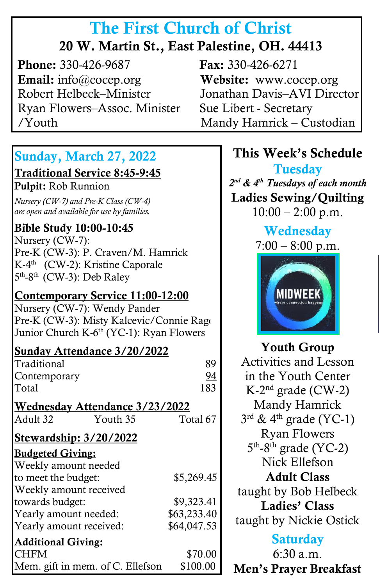# The First Church of Christ

## 20 W. Martin St., East Palestine, OH. 44413

**Phone:** 330-426-9687 **Fax:** 330-426-6271 Email: info@cocep.org Website: www.cocep.org Robert Helbeck–Minister Jonathan Davis–AVI Director Ryan Flowers–Assoc. Minister Sue Libert - Secretary /Youth Mandy Hamrick – Custodian

## Sunday, March 27, 2022

٦

Traditional Service 8:45-9:45

Pulpit: Rob Runnion

 *are open and available for use by families. Nursery (CW-7) and Pre-K Class (CW-4)*

## Bible Study 10:00-10:45

Nursery (CW-7): Pre-K (CW-3): P. Craven/M. Hamrick K-4<sup>th</sup> (CW-2): Kristine Caporale 5<sup>th</sup>-8<sup>th</sup> (CW-3): Deb Raley

### Contemporary Service 11:00-12:00

Nursery (CW-7): Wendy Pander Pre-K (CW-3): Misty Kalcevic/Connie Rage Junior Church K-6<sup>th</sup> (YC-1): Ryan Flowers

### Sunday Attendance 3/20/2022

| Traditional  | 89        |
|--------------|-----------|
| Contemporary | <u>94</u> |
| Total        | 183       |
|              |           |

**Wednesday Attendance 3/23/2022**<br>Adult 32 Youth 35 Total 67 Adult 32 Youth 35

### Stewardship: 3/20/2022

| <b>Budgeted Giving:</b>          |             |
|----------------------------------|-------------|
| Weekly amount needed             |             |
| to meet the budget:              | \$5,269.45  |
| Weekly amount received           |             |
| towards budget:                  | \$9,323.41  |
| Yearly amount needed:            | \$63,233.40 |
| Yearly amount received:          | \$64,047.53 |
| <b>Additional Giving:</b>        |             |
| <b>CHFM</b>                      | \$70.00     |
| Mem. gift in mem. of C. Ellefson | \$100.00    |

٦

## This Week's Schedule

**Tuesday** *2 nd & 4th Tuesdays of each month* Ladies Sewing/Quilting  $10:00 - 2:00$  p.m.

## **Wednesday**  $7:00 - 8:00 \text{ p.m.}$



Youth Group Activities and Lesson in the Youth Center K-2 nd grade (CW-2) Mandy Hamrick  $3^{\text{rd}}$  & 4<sup>th</sup> grade (YC-1) Ryan Flowers 5<sup>th</sup>-8<sup>th</sup> grade (YC-2) Nick Ellefson Adult Class taught by Bob Helbeck Ladies' Class taught by Nickie Ostick **Saturday** 

 $6:30 a.m.$ Men's Prayer Breakfast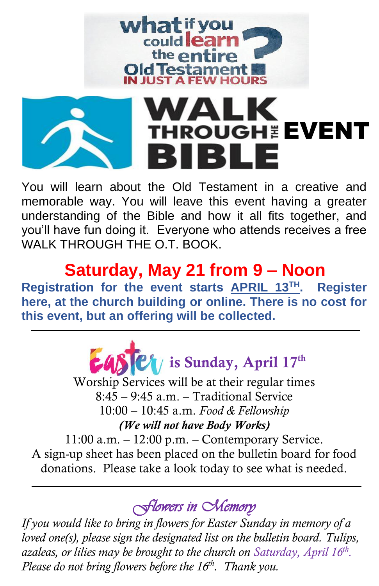



 memorable way. You will leave this event having a greater You will learn about the Old Testament in a creative and understanding of the Bible and how it all fits together, and you'll have fun doing it. Everyone who attends receives a free WALK THROUGH THE O.T. BOOK.

 **here, at the church building or online. There is no cost for Saturday, May 21 from 9 – Noon Registration for the event starts APRIL 13TH. Register this event, but an offering will be collected.**

 $\epsilon$ 48 $\epsilon$  is Sunday, April 17<sup>th</sup>

Worship Services will be at their regular times 8:45 – 9:45 a.m. – Traditional Service 10:00 – 10:45 a.m. *Food & Fellowship (We will not have Body Works)*

11:00 a.m. – 12:00 p.m. – Contemporary Service. A sign-up sheet has been placed on the bulletin board for food donations. Please take a look today to see what is needed.

# *Flowers in Memory*

*If you would like to bring in flowers for Easter Sunday in memory of a loved one(s), please sign the designated list on the bulletin board. Tulips, azaleas, or lilies may be brought to the church on Saturday, April 16th . Please do not bring flowers before the 16th . Thank you.*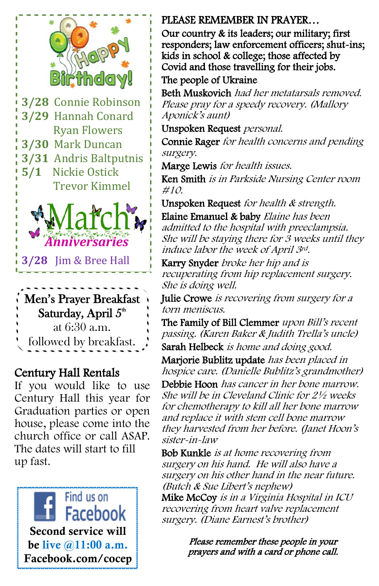

**3/28** Connie Robinson **3/29** Hannah Conard  Ryan Flowers **3/30** Mark Duncan **3/31** Andris Baltputnis **5/1** Nickie Ostick Trevor Kimmel



**3/28** Jim & Bree Hall



### Century Hall Rentals

If you would like to use Century Hall this year for Graduation parties or open house, please come into the church office or call ASAP. The dates will start to fill up fast.



#### PLEASE REMEMBER IN PRAYER…

Our country & its leaders; our military; first responders; law enforcement officers; shut-ins; kids in school & college; those affected by Covid and those travelling for their jobs.

#### The people of Ukraine

Beth Muskovich had her metatarsals removed. Please pray for a speedy recovery. (Mallory Aponick's aunt)

Unspoken Request *personal*.

Connie Rager for health concerns and pending surgery.

Marge Lewis for health issues.

 Ken Smith is in Parkside Nursing Center room #10.

Unspoken Request for health & strength. Elaine Emanuel & baby Elaine has been admitted to the hospital with preeclampsia. She will be staying there for 3 weeks until they induce labor the week of April 3rd.

Karry Snyder broke her hip and is recuperating from hip replacement surgery. She is doing well.

Julie Crowe is recovering from surgery for a torn meniscus.

The Family of Bill Clemmer upon Bill's recent passing. (Karen Baker & Judith Trella's uncle) Sarah Helbeck is home and doing good.

Marjorie Bublitz update has been placed in hospice care. (Danielle Bublitz's grandmother)

Debbie Hoon has cancer in her bone marrow. She will be in Cleveland Clinic for 2½ weeks for chemotherapy to kill all her bone marrow and replace it with stem cell bone marrow they harvested from her before. (Janet Hoon'<sup>s</sup> sister -in-law

Bob Kunkle is at home recovering from surgery on his hand. He will also have a surgery on his other hand in the near future. (Butch & Sue Libert's nephew)

Mike McCoy is in a Virginia Hospital in ICU recovering from heart valve replacement surgery. (Diane Earnest's brother)

> Please remember these people in your prayers and with a card or phone call.